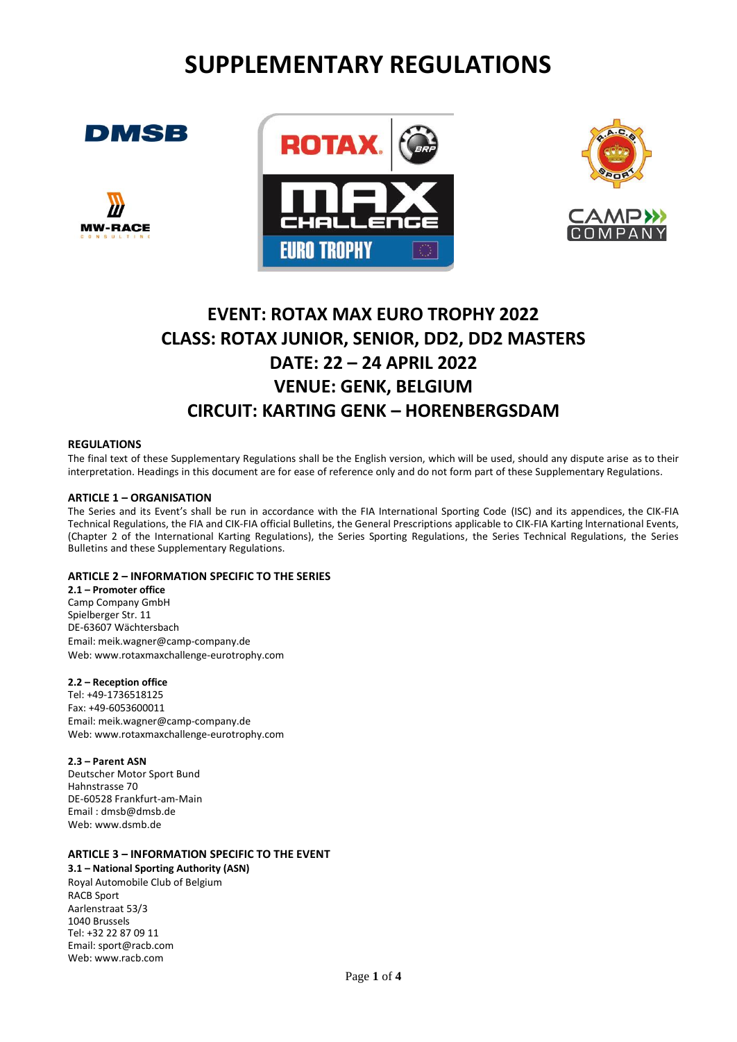# **SUPPLEMENTARY REGULATIONS**









# **EVENT: ROTAX MAX EURO TROPHY 2022 CLASS: ROTAX JUNIOR, SENIOR, DD2, DD2 MASTERS DATE: 22 – 24 APRIL 2022 VENUE: GENK, BELGIUM CIRCUIT: KARTING GENK – HORENBERGSDAM**

#### **REGULATIONS**

The final text of these Supplementary Regulations shall be the English version, which will be used, should any dispute arise as to their interpretation. Headings in this document are for ease of reference only and do not form part of these Supplementary Regulations.

#### **ARTICLE 1 – ORGANISATION**

The Series and its Event's shall be run in accordance with the FIA International Sporting Code (ISC) and its appendices, the CIK-FIA Technical Regulations, the FIA and CIK-FIA official Bulletins, the General Prescriptions applicable to CIK-FIA Karting lnternational Events, (Chapter 2 of the International Karting Regulations), the Series Sporting Regulations, the Series Technical Regulations, the Series Bulletins and these Supplementary Regulations.

## **ARTICLE 2 – INFORMATION SPECIFIC TO THE SERIES**

**2.1 – Promoter office** Camp Company GmbH Spielberger Str. 11 DE-63607 Wächtersbach Email: meik.wagner@camp-company.de Web: www.rotaxmaxchallenge-eurotrophy.com

## **2.2 – Reception office**

Tel: +49-1736518125 Fax: +49-6053600011 Em[ail: meik.wagner@camp-company.de](mailto:info@rotaxmaxeurochallenge.com) Web: www.rotaxmaxchallenge-eurotrophy.com

## **2.3 – Parent ASN**

Deutscher Motor Sport Bund Hahnstrasse 70 DE-60528 Frankfurt-am-Main Email : dmsb@dmsb.de Web: www.dsmb.de

## **ARTICLE 3 – INFORMATION SPECIFIC TO THE EVENT**

**3.1 – National Sporting Authority (ASN)** Royal Automobile Club of Belgium RACB Sport Aarlenstraat 53/3 1040 Brussels Tel: +32 22 87 09 11 Email[: sport@racb.com](mailto:sport@racb.com) Web: [www.racb.com](http://www.racb.com/)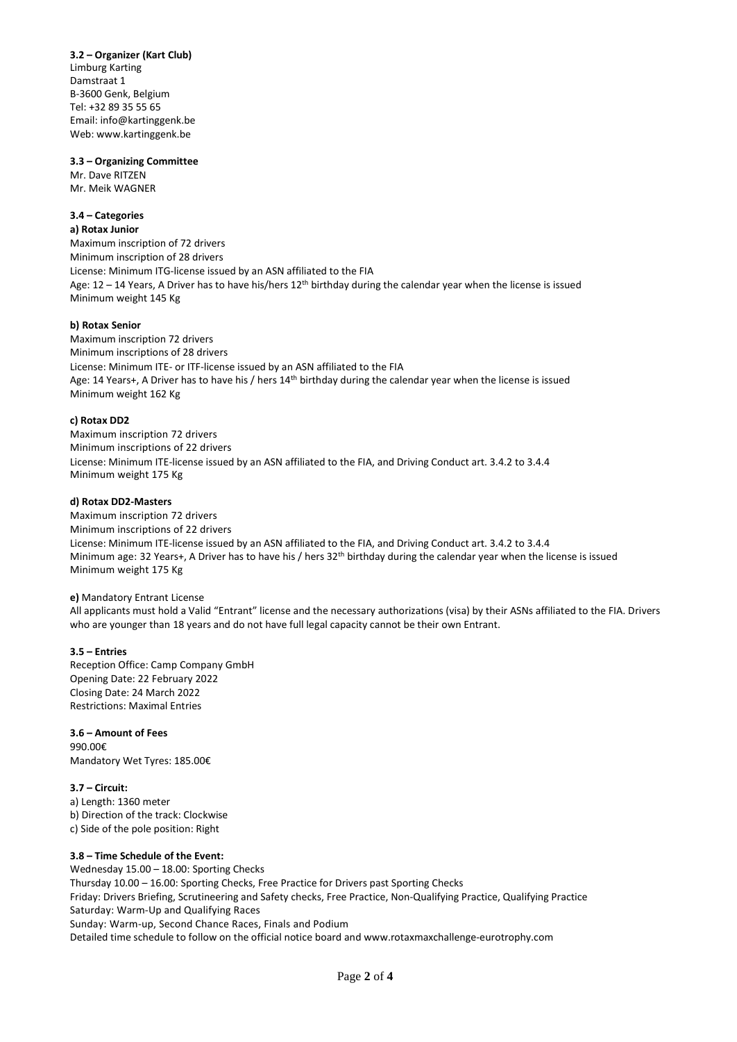**3.2 – Organizer (Kart Club)** Limburg Karting Damstraat 1 B-3600 Genk, Belgium Tel: +32 89 35 55 65 Email: [info@kartinggenk.be](mailto:info@kartinggenk.be) We[b: www.kartinggenk.be](http://www.kartinggenk.be/)

#### **3.3 – Organizing Committee**

Mr. Dave RITZEN Mr. Meik WAGNER

## **3.4 – Categories**

**a) Rotax Junior** Maximum inscription of 72 drivers Minimum inscription of 28 drivers License: Minimum ITG-license issued by an ASN affiliated to the FIA Age:  $12 - 14$  Years, A Driver has to have his/hers  $12$ <sup>th</sup> birthday during the calendar year when the license is issued Minimum weight 145 Kg

## **b) Rotax Senior**

Maximum inscription 72 drivers Minimum inscriptions of 28 drivers License: Minimum ITE- or ITF-license issued by an ASN affiliated to the FIA Age: 14 Years+, A Driver has to have his / hers 14<sup>th</sup> birthday during the calendar year when the license is issued Minimum weight 162 Kg

## **c) Rotax DD2**

Maximum inscription 72 drivers Minimum inscriptions of 22 drivers License: Minimum ITE-license issued by an ASN affiliated to the FIA, and Driving Conduct art. 3.4.2 to 3.4.4 Minimum weight 175 Kg

#### **d) Rotax DD2-Masters**

Maximum inscription 72 drivers Minimum inscriptions of 22 drivers License: Minimum ITE-license issued by an ASN affiliated to the FIA, and Driving Conduct art. 3.4.2 to 3.4.4 Minimum age: 32 Years+, A Driver has to have his / hers 32th birthday during the calendar year when the license is issued Minimum weight 175 Kg

#### **e)** Mandatory Entrant License

All applicants must hold a Valid "Entrant" license and the necessary authorizations (visa) by their ASNs affiliated to the FIA. Drivers who are younger than 18 years and do not have full legal capacity cannot be their own Entrant.

## **3.5 – Entries**

Reception Office: Camp Company GmbH Opening Date: 22 February 2022 Closing Date: 24 March 2022 Restrictions: Maximal Entries

## **3.6 – Amount of Fees**

990.00€ Mandatory Wet Tyres: 185.00€

## **3.7 – Circuit:**

a) Length: 1360 meter b) Direction of the track: Clockwise c) Side of the pole position: Right

## **3.8 – Time Schedule of the Event:**

Wednesday 15.00 – 18.00: Sporting Checks Thursday 10.00 – 16.00: Sporting Checks, Free Practice for Drivers past Sporting Checks Friday: Drivers Briefing, Scrutineering and Safety checks, Free Practice, Non-Qualifying Practice, Qualifying Practice Saturday: Warm-Up and Qualifying Races Sunday: Warm-up, Second Chance Races, Finals and Podium Detailed time schedule to follow on the official notice board and www.rotaxmaxchallenge-eurotrophy.com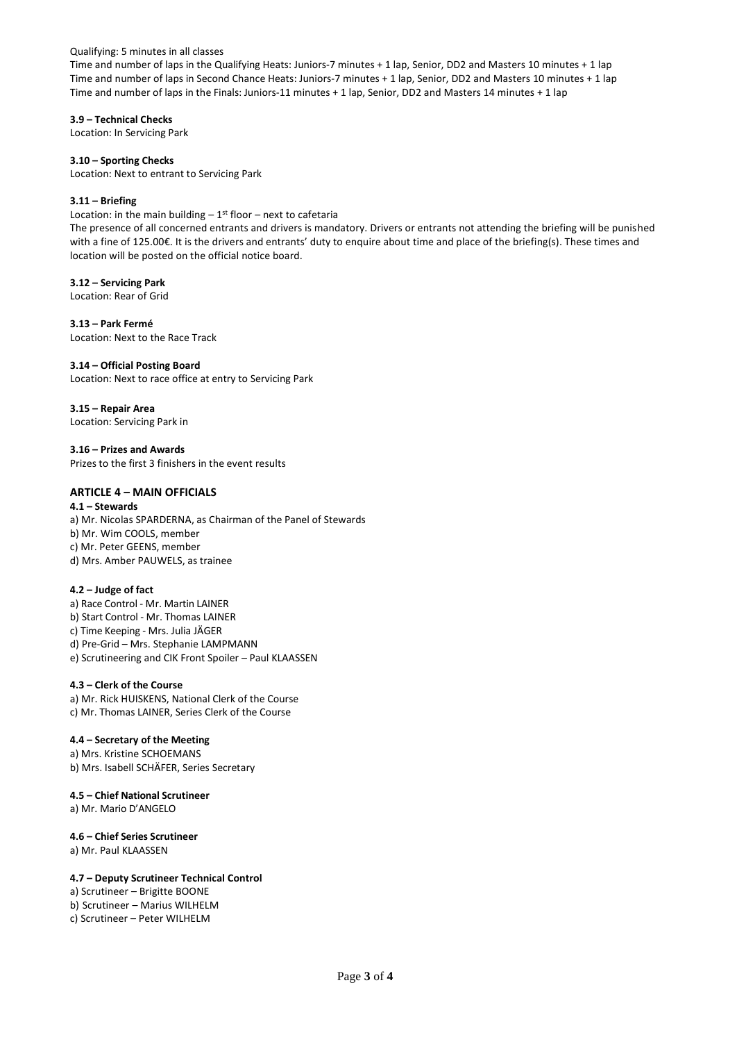Qualifying: 5 minutes in all classes

Time and number of laps in the Qualifying Heats: Juniors-7 minutes + 1 lap, Senior, DD2 and Masters 10 minutes + 1 lap Time and number of laps in Second Chance Heats: Juniors-7 minutes + 1 lap, Senior, DD2 and Masters 10 minutes + 1 lap Time and number of laps in the Finals: Juniors-11 minutes + 1 lap, Senior, DD2 and Masters 14 minutes + 1 lap

**3.9 – Technical Checks** Location: In Servicing Park

**3.10 – Sporting Checks** Location: Next to entrant to Servicing Park

## **3.11 – Briefing**

Location: in the main building  $-1^{st}$  floor  $-$  next to cafetaria

The presence of all concerned entrants and drivers is mandatory. Drivers or entrants not attending the briefing will be punished with a fine of 125.00€. It is the drivers and entrants' duty to enquire about time and place of the briefing(s). These times and location will be posted on the official notice board.

## **3.12 – Servicing Park**

Location: Rear of Grid

**3.13 – Park Fermé** Location: Next to the Race Track

## **3.14 – Official Posting Board**

Location: Next to race office at entry to Servicing Park

**3.15 – Repair Area** Location: Servicing Park in

**3.16 – Prizes and Awards** Prizes to the first 3 finishers in the event results

## **ARTICLE 4 – MAIN OFFICIALS**

**4.1 – Stewards** a) Mr. Nicolas SPARDERNA, as Chairman of the Panel of Stewards b) Mr. Wim COOLS, member c) Mr. Peter GEENS, member d) Mrs. Amber PAUWELS, as trainee

## **4.2 – Judge of fact**

a) Race Control - Mr. Martin LAINER b) Start Control - Mr. Thomas LAINER c) Time Keeping - Mrs. Julia JÄGER d) Pre-Grid – Mrs. Stephanie LAMPMANN e) Scrutineering and CIK Front Spoiler – Paul KLAASSEN

## **4.3 – Clerk of the Course**

a) Mr. Rick HUISKENS, National Clerk of the Course c) Mr. Thomas LAINER, Series Clerk of the Course

# **4.4 – Secretary of the Meeting**

a) Mrs. Kristine SCHOEMANS b) Mrs. Isabell SCHÄFER, Series Secretary

## **4.5 – Chief National Scrutineer** a) Mr. Mario D'ANGELO

#### **4.6 – Chief Series Scrutineer** a) Mr. Paul KLAASSEN

## **4.7 – Deputy Scrutineer Technical Control**

a) Scrutineer – Brigitte BOONE b) Scrutineer – Marius WILHELM c) Scrutineer – Peter WILHELM